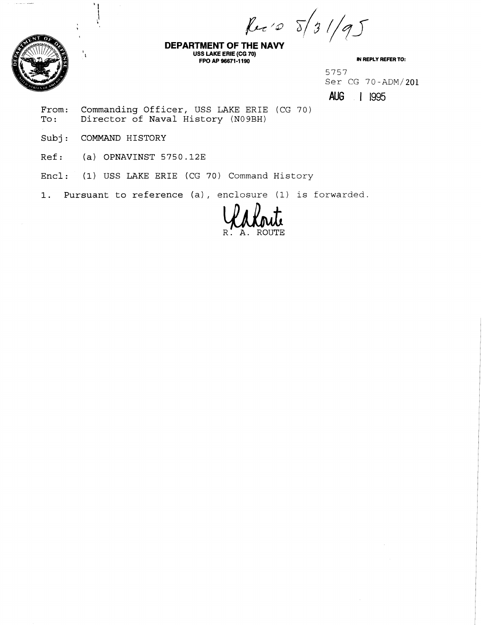Rec 10 5/31/95



.<br>محصوصات براسيات المراسيات

**DEPARTMENT OF THE NAVY USS LAKE ERIE (CG 70) FPO AP 96671 -1 190 M REPLY REFER 10:** 

5757 Ser CG 70-ADM/201

**AUG** | 1995

From: Commanding Officer, USS LAKE ERIE (CG 70)<br>To: Director of Naval History (N09BH) Director of Naval History (N09BH)

Subj: COMMAND HISTORY

Ref: (a) OPNAVINST 5750.12E

Encl: (1) USS LAKE ERIE (CG 70) Command History

1. Pursuant to reference (a), enclosure (1) is forwarded.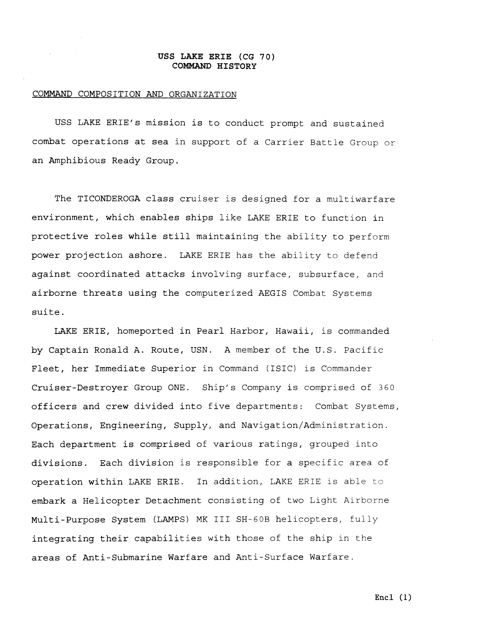#### **USS LAKE ERIE (CG 70) COMMAND HISTORY**

#### COMMAND COMPOSITION AND ORGANIZATION

USS LAKE ERIE'S mission is to conduct prompt and sustained combat operations at sea in support of a Carrier Battle Group or an Amphibious Ready Group.

The TICONDEROGA class cruiser is designed for a multiwarfare environment, which enables ships like LAKE ERIE to function in protective roles while still maintaining the ability to perform power projection ashore. LAKE ERIE has the ability to defend against coordinated attacks involving surface, subsurface, and airborne threats using the computerized AEGIS Combat Systems suite.

LAKE ERIE, homeported in Pearl Harbor, Hawaii, is commanded **by** Captain Ronald A. Route, USN. A member of the U.S. Pacific Fleet, her Immediate Superior in Command (ISIC) is Commander Cruiser-Destroyer Group ONE. Ship's Company is comprised of 360 officers and crew divided into five departments: Combat Systems, Operations, Engineering, Supply, and Navigation/Administration. Each department is comprised of various ratings, grouped into divisions. Each division is responsible for a specific area of operation within LAKE ERIE. In addition, LAKE ERIE is able to embark a Helicopter Detachment consisting of two Light Airborne Multi-Purpose System (LAMPS) MK I11 SH-GOB helicopters, fully integrating their capabilities with those of the ship in the areas of Anti-Submarine Warfare and Anti-Surface Warfare.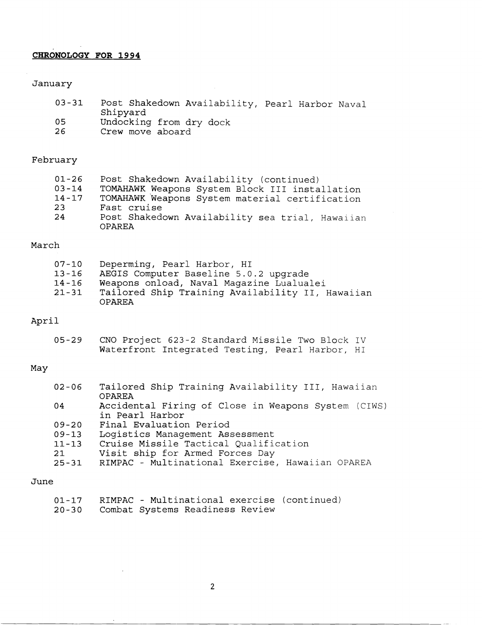# **CHRONOLOGY FOR 1994**

## January

| $03 - 31$ | Post Shakedown Availability, Pearl Harbor Naval |
|-----------|-------------------------------------------------|
|           | Shipyard                                        |
| 05        | Undocking from dry dock                         |
| 26        | Crew move aboard                                |

## February

| 01-26     | Post Shakedown Availability (continued)                   |
|-----------|-----------------------------------------------------------|
| $03 - 14$ | TOMAHAWK Weapons System Block III installation            |
| 14-17     | TOMAHAWK Weapons System material certification            |
| -23-      | Fast cruise                                               |
| 24        | Post Shakedown Availability sea trial, Hawaiian<br>OPAREA |

### March

| 07-10     | Deperming, Pearl Harbor, HI                      |
|-----------|--------------------------------------------------|
| $13 - 16$ | AEGIS Computer Baseline 5.0.2 upqrade            |
| 14-16     | Weapons onload, Naval Magazine Lualualei         |
| $21 - 31$ | Tailored Ship Training Availability II, Hawaiian |
|           | OPAREA                                           |

# April

| $05 - 29$ | CNO Project 623-2 Standard Missile Two Block IV |  |  |
|-----------|-------------------------------------------------|--|--|
|           | Waterfront Integrated Testing, Pearl Harbor, HI |  |  |

#### May

| $02 - 06$ | Tailored Ship Training Availability III, Hawaiian   |
|-----------|-----------------------------------------------------|
|           | OPAREA                                              |
| 04        | Accidental Firing of Close in Weapons System (CIWS) |
|           | in Pearl Harbor                                     |
| $09 - 20$ | Final Evaluation Period                             |
| $09 - 13$ | Logistics Management Assessment                     |
| $11 - 13$ | Cruise Missile Tactical Qualification               |
| 21        | Visit ship for Armed Forces Day                     |
| $25 - 31$ | RIMPAC - Multinational Exercise, Hawaiian OPAREA    |
|           |                                                     |

#### June

|  |                                       | 01-17 RIMPAC - Multinational exercise (continued) |
|--|---------------------------------------|---------------------------------------------------|
|  | 20-30 Combat Systems Readiness Review |                                                   |

 $\bar{z}$ 

 $\bar{z}$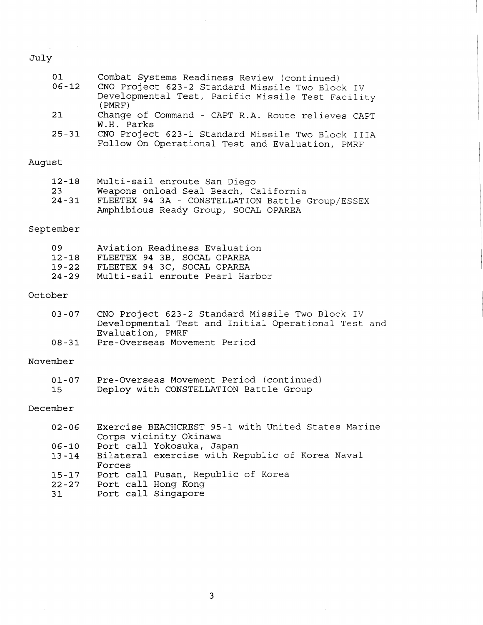# July

| 01<br>$06 - 12$              | Combat Systems Readiness Review (continued)<br>CNO Project 623-2 Standard Missile Two Block IV<br>Developmental Test, Pacific Missile Test Facility<br>(PMRF)     |
|------------------------------|-------------------------------------------------------------------------------------------------------------------------------------------------------------------|
| 21                           | Change of Command - CAPT R.A. Route relieves CAPT<br>W.H. Parks                                                                                                   |
| $25 - 31$                    | CNO Project 623-1 Standard Missile Two Block IIIA<br>Follow On Operational Test and Evaluation, PMRF                                                              |
| August                       |                                                                                                                                                                   |
| $12 - 18$<br>23<br>$24 - 31$ | Multi-sail enroute San Diego<br>Weapons onload Seal Beach, California<br>FLEETEX 94 3A - CONSTELLATION Battle Group/ESSEX<br>Amphibious Ready Group, SOCAL OPAREA |
| September                    |                                                                                                                                                                   |
| 09<br>$19 - 22$              | Aviation Readiness Evaluation<br>12-18 FLEETEX 94 3B, SOCAL OPAREA<br>FLEETEX 94 3C, SOCAL OPAREA                                                                 |

 $\bar{\mathcal{A}}$ 

Multi-sail enroute Pearl Harbor

#### October

| $03 - 07$ | CNO Project 623-2 Standard Missile Two Block IV     |
|-----------|-----------------------------------------------------|
|           | Developmental Test and Initial Operational Test and |
|           | Evaluation, PMRF                                    |
| 08-31     | Pre-Overseas Movement Period                        |

#### November

| 01-07 | Pre-Overseas Movement Period (continued) |
|-------|------------------------------------------|
| 15    | Deploy with CONSTELLATION Battle Group   |

#### December

| $02 - 06$ | Exercise BEACHCREST 95-1 with United States Marine |
|-----------|----------------------------------------------------|
|           | Corps vicinity Okinawa                             |
| $06 - 10$ | Port call Yokosuka, Japan                          |
| $13 - 14$ | Bilateral exercise with Republic of Korea Naval    |
|           | Forces                                             |
| $15 - 17$ | Port call Pusan, Republic of Korea                 |
| $22 - 27$ | Port call Hong Kong                                |
| 31        | Port call Singapore                                |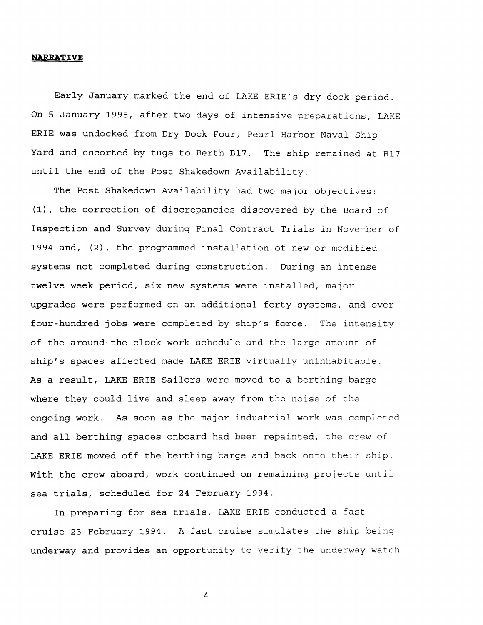#### **NARRATIVE**

Early January marked the end of LAKE ERIE'S dry dock period. On 5 January 1995, after two days of intensive preparations, LAKE ERIE was undocked from Dry Dock Four, Pearl Harbor Naval Ship Yard and escorted by tugs to Berth B17. The ship remained at B17 until the end of the Post Shakedown Availability.

The Post Shakedown Availability had two major objectives: (11, the correction of discrepancies discovered by the Board of Inspection and Survey during Final Contract Trials in November of 1994 and,  $(2)$ , the programmed installation of new or modified systems not completed during construction. During an intense twelve week period, six new systems were installed, major upgrades were performed on an additional forty systems, and over four-hundred jobs were completed by ship's force. The intensity of the around-the-clock work schedule and the large amount of ship's spaces affected made LAKE ERIE virtually uninhabitable. As a result, LAKE ERIE Sailors were moved to a berthing barge where they could live and sleep away from the noise of the ongoing work. As soon as the major industrial work was completed and all berthing spaces onboard had been repainted, the crew of LAKE ERIE moved off the berthing barge and back onto their ship. With the crew aboard, work continued on remaining projects until sea trials, scheduled for 24 February 1994.

In preparing for sea trials, LAKE ERIE conducted a fast cruise 23 February 1994. A fast cruise simulates the ship being underway and provides an opportunity to verify the underway watch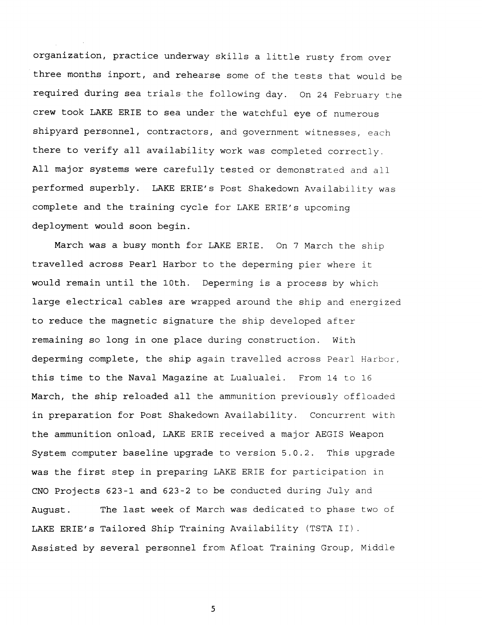organization, practice underway skills a little rusty from over three months inport, and rehearse some of the tests that would be required during sea trials the following day. On 24 February the crew took LAKE ERIE to sea under the watchful eye of numerous shipyard personnel, contractors, and government witnesses, each there to verify all availability work was completed correctly. All major systems were carefully tested or demonstrated and all performed superbly. LAKE ERIE'S Post Shakedown Availability was complete and the training cycle for LAKE ERIE'S upcoming deployment would soon begin.

March was a busy month for LAKE ERIE. On 7 March the ship travelled across Pearl Harbor to the deperming pier where it would remain until the 10th. Deperming is a process by which large electrical cables are wrapped around the ship and energized to reduce the magnetic signature the ship developed after remaining so long in one place during construction. With deperming complete, the ship again travelled across Pearl Harbor, this time to the Naval Magazine at Lualualei. From 14 to 16 March, the ship reloaded all the ammunition previously offloaded in preparation for Post Shakedown Availability. Concurrent with the ammunition onload, LAKE ERIE received a major AEGIS Weapon System computer baseline upgrade to version 5.0.2. This upgrade was the first step in preparing LAKE ERIE for participation in **CNO** Projects 623-1 and 623-2 to be conducted during July and August. The last week of March was dedicated to phase two of LAKE ERIE'S Tailored Ship Training Availability (TSTA 11). Assisted by several personnel from Afloat Training Group, Middle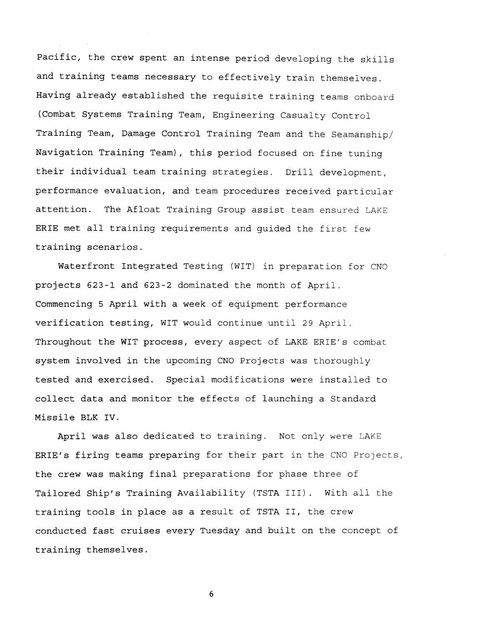pacific, the crew spent an intense period developing the skills and training teams necessary to effectively train themselves. Having already established the requisite training teams onboard (Combat Systems Training Team, Engineering Casualty Control Training Team, Damage Control Training Team and the Seamanship/ Navigation Training Team), this period focused on fine tuning their individual team training strategies. Drill development, performance evaluation, and team procedures received particular attention. The Afloat Training Group assist team ensured LAKE ERIE met all training requirements and guided the first few training scenarios.

Waterfront Integrated Testing (WIT) in preparation for CNO projects 623-1 and 623-2 dominated the month of April. Commencing 5 April with a week of equipment performance verification testing, WIT would continue until 29 April. Throughout the WIT process, every aspect of LAKE ERIE's combat system involved in the upcoming CNO Projects was thoroughly tested and exercised. Special modifications were installed to collect data and monitor the effects of launching a Standard Missile BLK IV.

April was also dedicated to training. Not only were LAKE ERIE's firing teams preparing for their part in the CNO Projects, the crew was making final preparations for phase three of Tailored Ship's Training Availability (TSTA 111). With all the training tools in place as a result of TSTA 11, the crew conducted fast cruises every Tuesday and built on the concept of training themselves.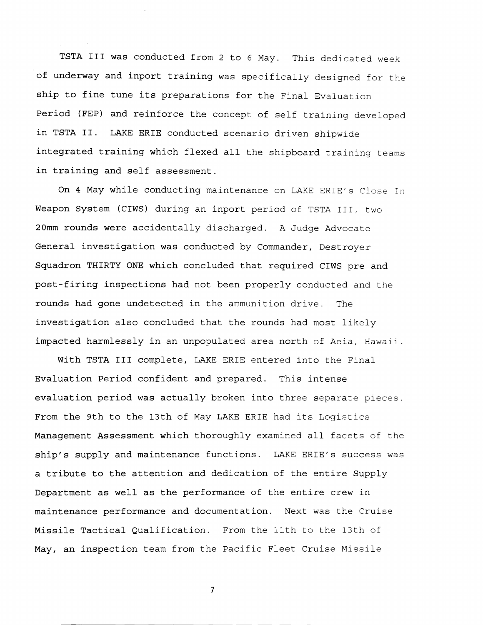TSTA I11 was conducted from 2 to 6 May. This dedicated week of underway and inport training was specifically designed for the ship to fine tune its preparations for the Final Evaluation period (FEP) and reinforce the concept of self training developed in TSTA 11. LAKE ERIE conducted scenario driven shipwide integrated training which flexed all the shipboard training teams in training and self assessment.

On 4 May while conducting maintenance on LAKE ERIE's Close In Weapon System (CIWS) during an inport period of TSTA 111, two 20mm rounds were accidentally discharged. A Judge Advocate General investigation was conducted by Commander, Destroyer Squadron THIRTY ONE which concluded that required CIWS pre and post-firing inspections had not been properly conducted and the rounds had gone undetected in the ammunition drive. The investigation also concluded that the rounds had most likely impacted harmlessly in an unpopulated area north of Aeia, Hawaii.

With TSTA I11 complete, LAKE ERIE entered into the Final Evaluation Period confident and prepared. This intense evaluation period was actually broken into three separate pieces. From the 9th to the 13th of May LAKE ERIE had its Logistics Management Assessment which thoroughly examined all facets of the ship's supply and maintenance functions. LAKE ERIE's success was a tribute to the attention and dedication of the entire Supply Department as well as the performance of the entire crew in maintenance performance and documentation. Next was the Cruise Missile Tactical Qualification. From the 11th to the 13th of May, an inspection team from the Pacific Fleet Cruise Missile

 $\overline{7}$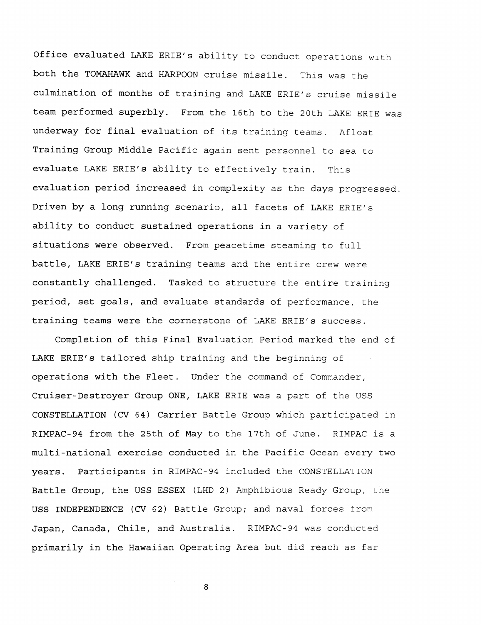Office evaluated LAKE ERIE's ability to conduct operations with both the TOMAHAWK and HARPOON cruise missile. This was the culmination of months of training and LAKE ERIE'S cruise misslle team performed superbly. From the 16th to the 20th LAKE ERIE was underway for final evaluation of its training teams. Afloat Training Group Middle Pacific again sent personnel to sea to evaluate LAKE ERIE's ability to effectively train. This evaluation period increased in complexity as the days progressed. Driven by a long running scenario, all facets of LAKE ERIE's ability **to** conduct sustained operations in a variety of situations were observed. From peacetime steaming to full battle, LAKE ERIE'S training teams and the entire crew were constantly challenged. Tasked to structure the entire training period, set goals, and evaluate standards of performance, the training teams were the cornerstone of LAKE ERIE's success.

Completion of this Final Evaluation Period marked the end of LAKE ERIE'S tailored ship training and the beginning of operations with the Fleet. Under the command of Commander, Cruiser-Destroyer Group ONE, LAKE ERIE was a part of the USS CONSTELLATION (CV 64) Carrier Battle Group which participated in RIMPAC-94 from the 25th of May to the 17th of June. RIMPAC is a multi-national exercise conducted in the Pacific Ocean every two years. Participants in RIMPAC-94 included the CONSTELLATION Battle Group, the USS ESSEX (LHD 2) Amphibious Ready Group, the USS INDEPENDENCE (CV 62) Battle Group; and naval forces from Japan, Canada, Chile, and Australia. RIMPAC-94 was conducted primarily in the Hawaiian Operating Area but did reach as far

 $\bf 8$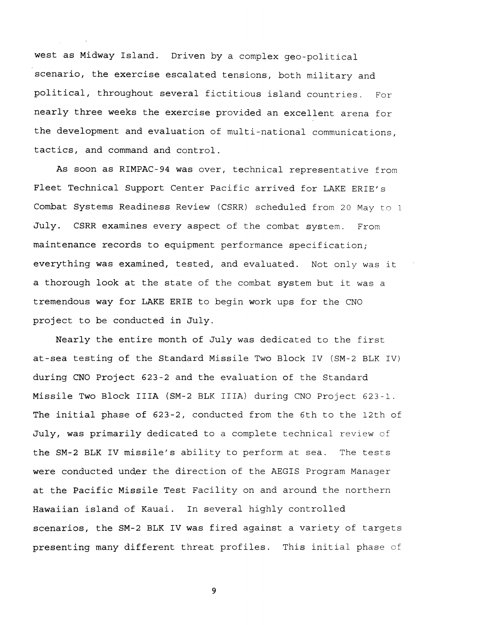west as Midway Island. Driven by a complex geo-political scenario, the exercise escalated tensions, both military and political, throughout several fictitious island countries. For nearly three weeks the exercise provided an excellent arena for the development and evaluation of multi-national communications, tactics, and command and control.

As soon as RIMPAC-94 was over, technical representative from Fleet Technical Support Center Pacific arrived for LAKE ERIE's Combat Systems Readiness Review (CSRR) scheduled from 20 May to 1 July. CSRR examines every aspect of the combat system. From maintenance records to equipment performance specification; everything was examined, tested, and evaluated. Not only was it a thorough look at the state of the combat system but it was a tremendous way for LAKE ERIE to begin work ups for the CNO project to be conducted in July.

Nearly the entire month of July was dedicated to the first at-sea testing of the Standard Missile Two Block IV (SM-2 BLK IV) during CNO Project 623-2 and the evaluation of the Standard Missile Two Block IIIA (SM-2 BLK IIIA) during CNO Project 623-1. The initial phase of 623-2, conducted from the 6th to the 12th of July, was primarily dedicated to a complete technical review of the SM-2 BLK IV missile's ability to perform at sea. The tests were conducted under the direction of the AEGIS Program Manager at the Pacific Missile Test Facility on and around the northern Hawaiian island of Kauai. In several highly controlled scenarios, the SM-2 BLK IV was fired against a variety of targets presenting many different threat profiles. This initial phase of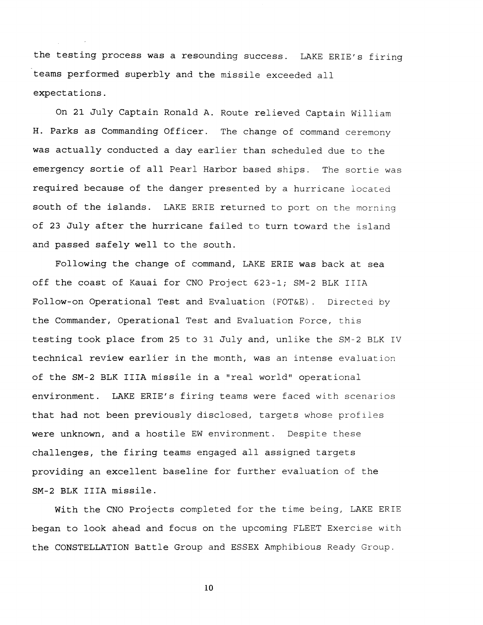the testing process was a resounding success. LAKE ERIE's firing teams performed superbly and the missile exceeded all expectations.

On 21 July Captain Ronald A. Route relieved Captain William H. Parks as Commanding Officer. The change of command ceremony was actually conducted a day earlier than scheduled due to the emergency sortie of all Pearl Harbor based ships. The sortie was required because of the danger presented by a hurricane located south of the islands. LAKE ERIE returned to port on the morning of 23 July after the hurricane failed to turn toward the island and passed safely well to the south.

Following the change of command, LAKE ERIE was back at sea off the coast of Kauai for CNO Project 623-1; SM-2 BLK IIIA Follow-on Operational Test and Evaluation (FOT&E). Directed by the Commander, Operational Test and Evaluation Force, this testing took place from 25 to 31 July and, unlike the SM-2 BLK IV technical review earlier in the month, was an intense evaluation of the SM-2 BLK IIIA missile in a "real world" operational environment. LAKE ERIE'S firing teams were faced with scenarios that had not been previously disclosed, targets whose profiles were unknown, and a hostile EW environment. Despite these challenges, the firing teams engaged all assigned targets providing an excellent baseline for further evaluation of the SM-2 BLK IIIA missile.

With the CNO Projects completed for the time being, LAKE ERIE began to look ahead and focus on the upcoming FLEET Exercise with the CONSTELLATION Battle Group and ESSEX Amphibious Ready Group.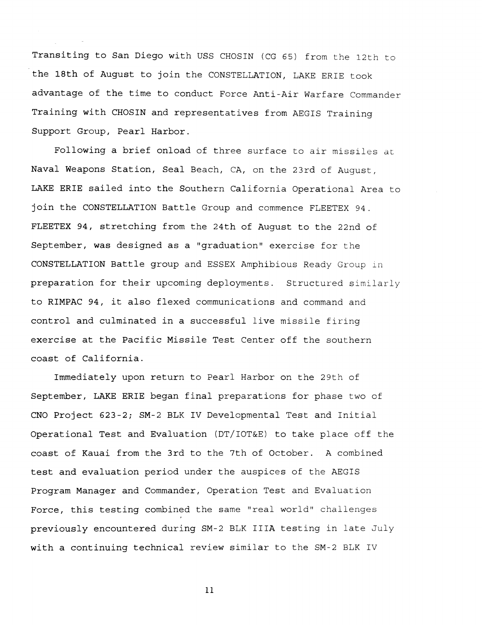Transiting to San Diego with USS CHOSIN (CG 65) from the 12th to the 18th of August to join the CONSTELLATION, LAKE ERIE took advantage of the time to conduct Force Anti-Air Warfare Commander Training with CHOSIN and representatives from AEGIS Training Support Group, Pearl Harbor.

Following a brief onload of three surface to air missiles at Naval Weapons Station, Seal Beach, CA, on the 23rd of August, LAKE ERIE sailed into the Southern California Operational Area to join the CONSTELLATION Battle Group and commence FLEETEX 94. FLEETEX 94, stretching from the 24th of August to the 22nd of September, was designed as a "graduation" exercise for the CONSTELLATION Battle group and ESSEX Amphibious Ready Group in preparation for their upcoming deployments. Structured similarly to RIMPAC 94, it also flexed communications and command and control and culminated in a successful live missile firing exercise at the Pacific Missile Test Center off the southern coast of California.

Immediately upon return to Pearl Harbor on the 29th of September, LAKE ERIE began final preparations for phase two of CNO Project 623-2; SM-2 BLK IV Developmental Test and Initial Operational Test and Evaluation (DT/IOT&E) to take place off the coast of Kauai from the 3rd to the 7th of October. A combined test and evaluation period under the auspices of the AEGIS Program Manager and Commander, Operation Test and Evaluation Force, this testing combined the same "real world" challenges previously encountered during SM-2 BLK IIIA testing in late July with a continuing technical review similar to the SM-2 BLK IV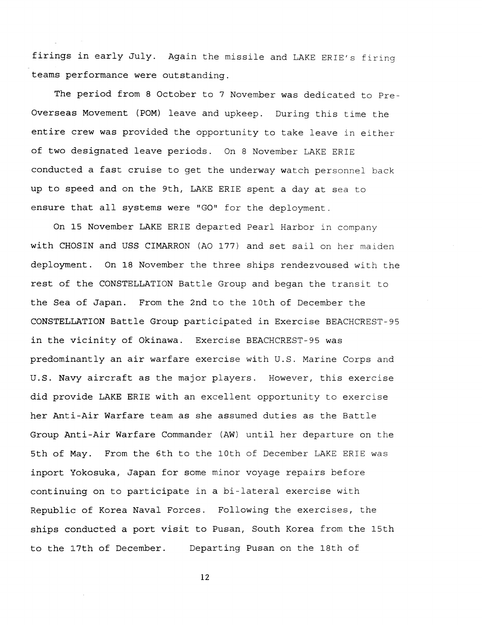firings in early July. Again the missile and LAKE ERIE's firing teams performance were outstanding.

The period from 8 October to 7 November was dedicated to Pre-Overseas Movement (POM) leave and upkeep. During this time the entire crew was provided the opportunity to take leave in either of two designated leave periods. On 8 November LAKE ERIE conducted a fast cruise to get the underway watch personnel back up to speed and on the 9th, LAKE ERIE spent a day at sea to ensure that all systems were "GO" for the deployment.

On 15 November LAKE ERIE departed Pearl Harbor in company with CHOSIN and USS CIMARRON (A0 177) and set sail on her maiden deployment. On **18** November the three ships rendezvoused with the rest of the CONSTELLATION Battle Group and began the transit to the Sea of Japan. From the 2nd to the 10th of December the C0NSTEL:LATION Battle Group participated in Exercise BEACHCREST-95 in the vicinity of Okinawa. Exercise BEACHCREST-95 was predominantly an air warfare exercise with U.S. Marine Corps and U.S. Navy aircraft as the major players. However, this exercise did provide LAKE ERIE with an excellent opportunity to exercise her Anti-Air Warfare team as she assumed duties as the Battle Group Anti-Air Warfare Commander (AW) until her departure on the 5th of May. From the 6th to the 10th of December LAKE ERIE was inport Yokosuka, Japan for some minor voyage repairs before continuing on to participate in a bi-lateral exercise with Republic of Korea Naval Forces. Following the exercises, the ships conducted a port visit to Pusan, South Korea from the 15th to the 17th of December. Departing Pusan on the 18th of